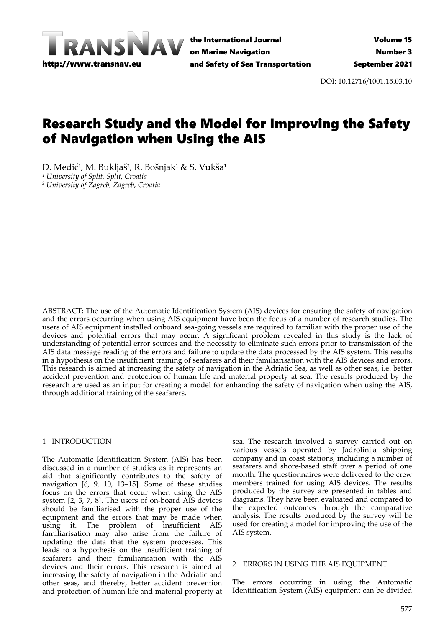

the International Journal on Marine Navigation and Safety of Sea Transportation

DOI: 10.12716/1001.15.03.10

# Research Study and the Model for Improving the Safety of Navigation when Using the AIS

D. Medić<sup>1</sup>, M. Bukljaš<sup>2</sup>, R. Bošnjak<sup>1</sup> & S. Vukša<sup>1</sup> *<sup>1</sup> University of Split, Split, Croatia <sup>2</sup> University of Zagreb, Zagreb, Croatia*

ABSTRACT: The use of the Automatic Identification System (AIS) devices for ensuring the safety of navigation and the errors occurring when using AIS equipment have been the focus of a number of research studies. The users of AIS equipment installed onboard sea-going vessels are required to familiar with the proper use of the devices and potential errors that may occur. A significant problem revealed in this study is the lack of understanding of potential error sources and the necessity to eliminate such errors prior to transmission of the AIS data message reading of the errors and failure to update the data processed by the AIS system. This results in a hypothesis on the insufficient training of seafarers and their familiarisation with the AIS devices and errors. This research is aimed at increasing the safety of navigation in the Adriatic Sea, as well as other seas, i.e. better accident prevention and protection of human life and material property at sea. The results produced by the research are used as an input for creating a model for enhancing the safety of navigation when using the AIS, through additional training of the seafarers.

#### 1 INTRODUCTION

The Automatic Identification System (AIS) has been discussed in a number of studies as it represents an aid that significantly contributes to the safety of navigation  $\overline{6}$ , 9, 10, 13-15]. Some of these studies focus on the errors that occur when using the AIS system [2, 3, 7, 8]. The users of on-board AIS devices should be familiarised with the proper use of the equipment and the errors that may be made when using it. The problem of insufficient AIS familiarisation may also arise from the failure of updating the data that the system processes. This leads to a hypothesis on the insufficient training of seafarers and their familiarisation with the AIS devices and their errors. This research is aimed at increasing the safety of navigation in the Adriatic and other seas, and thereby, better accident prevention and protection of human life and material property at

sea. The research involved a survey carried out on various vessels operated by Jadrolinija shipping company and in coast stations, including a number of seafarers and shore-based staff over a period of one month. The questionnaires were delivered to the crew members trained for using AIS devices. The results produced by the survey are presented in tables and diagrams. They have been evaluated and compared to the expected outcomes through the comparative analysis. The results produced by the survey will be used for creating a model for improving the use of the AIS system.

## 2 ERRORS IN USING THE AIS EQUIPMENT

The errors occurring in using the Automatic Identification System (AIS) equipment can be divided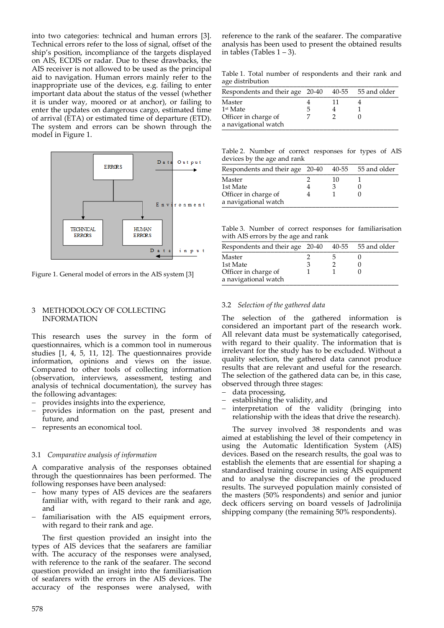into two categories: technical and human errors [3]. Technical errors refer to the loss of signal, offset of the ship's position, incompliance of the targets displayed on AIS, ECDIS or radar. Due to these drawbacks, the AIS receiver is not allowed to be used as the principal aid to navigation. Human errors mainly refer to the inappropriate use of the devices, e.g. failing to enter important data about the status of the vessel (whether it is under way, moored or at anchor), or failing to enter the updates on dangerous cargo, estimated time of arrival (ETA) or estimated time of departure (ETD). The system and errors can be shown through the model in Figure 1.



Figure 1. General model of errors in the AIS system [3]

#### 3 METHODOLOGY OF COLLECTING INFORMATION

This research uses the survey in the form of questionnaires, which is a common tool in numerous studies [1, 4, 5, 11, 12]. The questionnaires provide information, opinions and views on the issue. Compared to other tools of collecting information (observation, interviews, assessment, testing and analysis of technical documentation), the survey has the following advantages:

- − provides insights into the experience,
- provides information on the past, present and future, and
- − represents an economical tool.

#### 3.1 *Comparative analysis of information*

A comparative analysis of the responses obtained through the questionnaires has been performed. The following responses have been analysed:

- how many types of AIS devices are the seafarers familiar with, with regard to their rank and age, and
- familiarisation with the AIS equipment errors, with regard to their rank and age.

The first question provided an insight into the types of AIS devices that the seafarers are familiar with. The accuracy of the responses were analysed, with reference to the rank of the seafarer. The second question provided an insight into the familiarisation of seafarers with the errors in the AIS devices. The accuracy of the responses were analysed, with

reference to the rank of the seafarer. The comparative analysis has been used to present the obtained results in tables (Tables  $1 - 3$ ).

Table 1. Total number of respondents and their rank and age distribution

| Respondents and their age 20-40              |   | 40-55 55 and older |
|----------------------------------------------|---|--------------------|
| Master                                       |   |                    |
| 1 <sup>st</sup> Mate                         | ூ |                    |
| Officer in charge of<br>a navigational watch |   |                    |

Table 2. Number of correct responses for types of AIS devices by the age and rank

| Respondents and their age 20-40              |    | 40-55 55 and older |
|----------------------------------------------|----|--------------------|
| Master                                       | 10 |                    |
| 1st Mate                                     |    |                    |
| Officer in charge of<br>a navigational watch |    |                    |

Table 3. Number of correct responses for familiarisation with AIS errors by the age and rank

| Respondents and their age 20-40              |  | 40-55 55 and older |
|----------------------------------------------|--|--------------------|
| Master                                       |  |                    |
| 1st Mate                                     |  |                    |
| Officer in charge of<br>a navigational watch |  |                    |

#### 3.2 *Selection of the gathered data*

The selection of the gathered information is considered an important part of the research work. All relevant data must be systematically categorised, with regard to their quality. The information that is irrelevant for the study has to be excluded. Without a quality selection, the gathered data cannot produce results that are relevant and useful for the research. The selection of the gathered data can be, in this case, observed through three stages:

- − data processing,
- establishing the validity, and
- interpretation of the validity (bringing into relationship with the ideas that drive the research).

The survey involved 38 respondents and was aimed at establishing the level of their competency in using the Automatic Identification System (AIS) devices. Based on the research results, the goal was to establish the elements that are essential for shaping a standardised training course in using AIS equipment and to analyse the discrepancies of the produced results. The surveyed population mainly consisted of the masters (50% respondents) and senior and junior deck officers serving on board vessels of Jadrolinija shipping company (the remaining 50% respondents).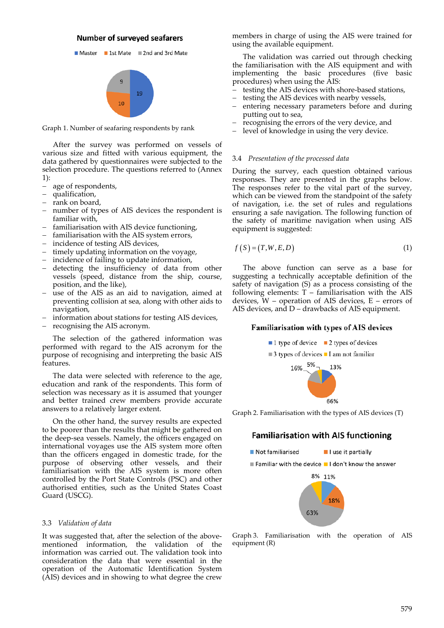#### **Number of surveyed seafarers**



Graph 1. Number of seafaring respondents by rank

After the survey was performed on vessels of various size and fitted with various equipment, the data gathered by questionnaires were subjected to the selection procedure. The questions referred to (Annex 1):

- − age of respondents,
- − qualification,
- − rank on board,
- − number of types of AIS devices the respondent is familiar with,
- − familiarisation with AIS device functioning,
- − familiarisation with the AIS system errors,
- − incidence of testing AIS devices,
- − timely updating information on the voyage,
- − incidence of failing to update information,
- − detecting the insufficiency of data from other vessels (speed, distance from the ship, course, position, and the like),
- use of the AIS as an aid to navigation, aimed at preventing collision at sea, along with other aids to navigation,
- information about stations for testing AIS devices,
- − recognising the AIS acronym.

The selection of the gathered information was performed with regard to the AIS acronym for the purpose of recognising and interpreting the basic AIS features.

The data were selected with reference to the age, education and rank of the respondents. This form of selection was necessary as it is assumed that younger and better trained crew members provide accurate answers to a relatively larger extent.

On the other hand, the survey results are expected to be poorer than the results that might be gathered on the deep-sea vessels. Namely, the officers engaged on international voyages use the AIS system more often than the officers engaged in domestic trade, for the purpose of observing other vessels, and their familiarisation with the AIS system is more often controlled by the Port State Controls (PSC) and other authorised entities, such as the United States Coast Guard (USCG).

#### 3.3 *Validation of data*

It was suggested that, after the selection of the abovementioned information, the validation of the information was carried out. The validation took into consideration the data that were essential in the operation of the Automatic Identification System (AIS) devices and in showing to what degree the crew

members in charge of using the AIS were trained for using the available equipment.

The validation was carried out through checking the familiarisation with the AIS equipment and with implementing the basic procedures (five basic procedures) when using the AIS:

- − testing the AIS devices with shore-based stations,
- − testing the AIS devices with nearby vessels,
- − entering necessary parameters before and during putting out to sea,
- recognising the errors of the very device, and
- − level of knowledge in using the very device.

#### 3.4 *Presentation of the processed data*

During the survey, each question obtained various responses. They are presented in the graphs below. The responses refer to the vital part of the survey, which can be viewed from the standpoint of the safety of navigation, i.e. the set of rules and regulations ensuring a safe navigation. The following function of the safety of maritime navigation when using AIS equipment is suggested:

$$
f(S) = (T, W, E, D) \tag{1}
$$

The above function can serve as a base for suggesting a technically acceptable definition of the safety of navigation (S) as a process consisting of the following elements: T – familiarisation with the AIS devices,  $\tilde{W}$  – operation of AIS devices, E – errors of AIS devices, and D – drawbacks of AIS equipment.

#### Familiarisation with types of AIS devices



Graph 2. Familiarisation with the types of AIS devices (T)

## **Familiarisation with AIS functioning**



Graph 3. Familiarisation with the operation of AIS equipment (R)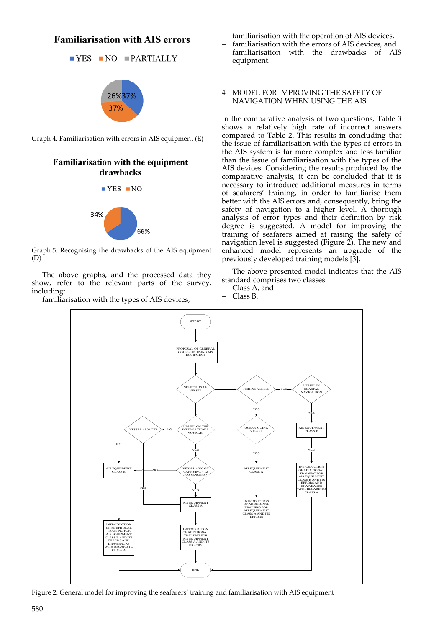# **Familiarisation with AIS errors**

$$
\blacksquare \text{YES} \blacksquare \text{NO} \blacksquare \text{PARTIALLY}
$$





# Familiarisation with the equipment drawbacks



Graph 5. Recognising the drawbacks of the AIS equipment (D)

The above graphs, and the processed data they show, refer to the relevant parts of the survey, including:

familiarisation with the types of AIS devices,

- familiarisation with the operation of AIS devices,
- familiarisation with the errors of AIS devices, and
- − familiarisation with the drawbacks of AIS equipment.

#### 4 MODEL FOR IMPROVING THE SAFETY OF NAVIGATION WHEN USING THE AIS

In the comparative analysis of two questions, Table 3 shows a relatively high rate of incorrect answers compared to Table 2. This results in concluding that the issue of familiarisation with the types of errors in the AIS system is far more complex and less familiar than the issue of familiarisation with the types of the AIS devices. Considering the results produced by the comparative analysis, it can be concluded that it is necessary to introduce additional measures in terms of seafarers' training, in order to familiarise them better with the AIS errors and, consequently, bring the safety of navigation to a higher level. A thorough analysis of error types and their definition by risk degree is suggested. A model for improving the training of seafarers aimed at raising the safety of navigation level is suggested (Figure 2). The new and enhanced model represents an upgrade of the previously developed training models [3].

The above presented model indicates that the AIS standard comprises two classes:

- − Class A, and
- − Class B.



Figure 2. General model for improving the seafarers' training and familiarisation with AIS equipment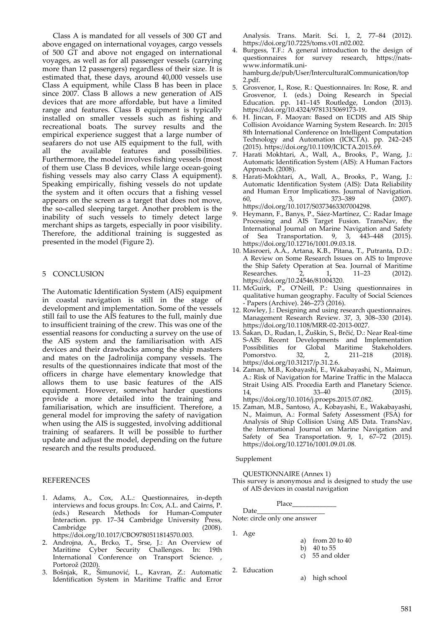Class A is mandated for all vessels of 300 GT and above engaged on international voyages, cargo vessels of 500 GT and above not engaged on international voyages, as well as for all passenger vessels (carrying more than 12 passengers) regardless of their size. It is estimated that, these days, around 40,000 vessels use Class A equipment, while Class B has been in place since 2007. Class B allows a new generation of AIS devices that are more affordable, but have a limited range and features. Class B equipment is typically installed on smaller vessels such as fishing and recreational boats. The survey results and the empirical experience suggest that a large number of seafarers do not use AIS equipment to the full, with all the available features and possibilities. Furthermore, the model involves fishing vessels (most of them use Class B devices, while large ocean-going fishing vessels may also carry Class A equipment). Speaking empirically, fishing vessels do not update the system and it often occurs that a fishing vessel appears on the screen as a target that does not move, the so-called sleeping target. Another problem is the inability of such vessels to timely detect large merchant ships as targets, especially in poor visibility. Therefore, the additional training is suggested as presented in the model (Figure 2).

## 5 CONCLUSION

The Automatic Identification System (AIS) equipment in coastal navigation is still in the stage of development and implementation. Some of the vessels still fail to use the AIS features to the full, mainly due to insufficient training of the crew. This was one of the essential reasons for conducting a survey on the use of the AIS system and the familiarisation with AIS devices and their drawbacks among the ship masters and mates on the Jadrolinija company vessels. The results of the questionnaires indicate that most of the officers in charge have elementary knowledge that allows them to use basic features of the AIS equipment. However, somewhat harder questions provide a more detailed into the training and familiarisation, which are insufficient. Therefore, a general model for improving the safety of navigation when using the AIS is suggested, involving additional training of seafarers. It will be possible to further update and adjust the model, depending on the future research and the results produced.

#### **REFERENCES**

- 1. Adams, A., Cox, A.L.: Questionnaires, in-depth interviews and focus groups. In: Cox, A.L. and Cairns, P. (eds.) Research Methods for Human-Computer Interaction. pp. 17–34 Cambridge University Press, Cambridge (2008). https://doi.org/10.1017/CBO9780511814570.003.
- 2. Androjna, A., Brcko, T., Srse, J.: An Overview of Maritime Cyber Security Challenges. In: 19th International Conference on Transport Science. , Portorož (2020).
- 3. Bošnjak, R., Šimunović, L., Kavran, Z.: Automatic Identification System in Maritime Traffic and Error

Analysis. Trans. Marit. Sci. 1, 2, 77–84 (2012). https://doi.org/10.7225/toms.v01.n02.002.

- 4. Burgess, T.F.: A general introduction to the design of questionnaires for survey research, https://natswww.informatik.unihamburg.de/pub/User/InterculturalCommunication/top 2.pdf.
- 5. Grosvenor, I., Rose, R.: Questionnaires. In: Rose, R. and Grosvenor, I. (eds.) Doing Research in Special Education. pp.  $141-145$  Routledge, London (2013). https://doi.org/10.4324/9781315069173-19.
- 6. H. Jincan, F. Maoyan: Based on ECDIS and AIS Ship Collision Avoidance Warning System Research. In: 2015 8th International Conference on Intelligent Computation Technology and Automation (ICICTA). pp. 242–245 (2015). https://doi.org/10.1109/ICICTA.2015.69.
- 7. Harati Mokhtari, A., Wall, A., Brooks, P., Wang, J.: Automatic Identification System (AIS): A Human Factors Approach. (2008).
- 8. Harati-Mokhtari, A., Wall, A., Brooks, P., Wang, J.: Automatic Identification System (AIS): Data Reliability and Human Error Implications. Journal of Navigation. 60, 3, 373–389 (2007). https://doi.org/10.1017/S0373463307004298.
- 9. Heymann, F., Banys, P., Sáez-Martínez, C.: Radar Image Processing and AIS Target Fusion. TransNav, the International Journal on Marine Navigation and Safety of Sea Transportation. 9, 3, 443–448 (2015). https://doi.org/10.12716/1001.09.03.18.
- 10. Masroeri, A.A., Artana, K.B., Pitana, T., Putranta, D.D.: A Review on Some Research Issues on AIS to Improve the Ship Safety Operation at Sea. Journal of Maritime Researches. 2, 1, 11–23 (2012). https://doi.org/10.24546/81004320.
- 11. McGuirk, P., O'Neill, P.: Using questionnaires in qualitative human geography. Faculty of Social Sciences - Papers (Archive). 246–273 (2016).
- 12. Rowley, J.: Designing and using research questionnaires. Management Research Review. 37, 3, 308–330 (2014). https://doi.org/10.1108/MRR-02-2013-0027.
- 13. Šakan, D., Rudan, I., Žuškin, S., Brčić, D.: Near Real-time S-AIS: Recent Developments and Implementation Possibilities for Global Maritime Stakeholders. Pomorstvo. 32, 2, 211–218 (2018). https://doi.org/10.31217/p.31.2.6.
- 14. Zaman, M.B., Kobayashi, E., Wakabayashi, N., Maimun, A.: Risk of Navigation for Marine Traffic in the Malacca Strait Using AIS. Procedia Earth and Planetary Science.<br>14. 33–40 (2015). 14, 33–40 (2015).

https://doi.org/10.1016/j.proeps.2015.07.082. 15. Zaman, M.B., Santoso, A., Kobayashi, E., Wakabayashi, N., Maimun, A.: Formal Safety Assessment (FSA) for Analysis of Ship Collision Using AIS Data. TransNav, the International Journal on Marine Navigation and Safety of Sea Transportation. 9, 1, 67–72 (2015).

# Supplement

QUESTIONNAIRE (Annex 1)

This survey is anonymous and is designed to study the use of AIS devices in coastal navigation

$$
\text{Place}\_\_
$$

https://doi.org/10.12716/1001.09.01.08.

Note: circle only one answer

1. Age

Date

2. Education

a) from 20 to 40

b) 40 to 55

- c) 55 and older
- a) high school